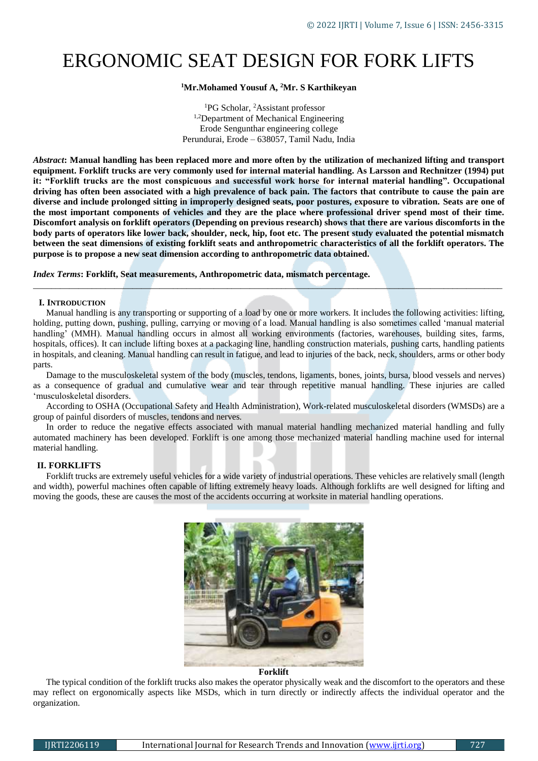# ERGONOMIC SEAT DESIGN FOR FORK LIFTS

# **<sup>1</sup>Mr.Mohamed Yousuf A, <sup>2</sup>Mr. S Karthikeyan**

<sup>1</sup>PG Scholar, <sup>2</sup>Assistant professor 1,2Department of Mechanical Engineering Erode Sengunthar engineering college Perundurai, Erode – 638057, Tamil Nadu, India

*Abstract***: Manual handling has been replaced more and more often by the utilization of mechanized lifting and transport equipment. Forklift trucks are very commonly used for internal material handling. As Larsson and Rechnitzer (1994) put it: "Forklift trucks are the most conspicuous and successful work horse for internal material handling". Occupational driving has often been associated with a high prevalence of back pain. The factors that contribute to cause the pain are diverse and include prolonged sitting in improperly designed seats, poor postures, exposure to vibration. Seats are one of the most important components of vehicles and they are the place where professional driver spend most of their time. Discomfort analysis on forklift operators (Depending on previous research) shows that there are various discomforts in the body parts of operators like lower back, shoulder, neck, hip, foot etc. The present study evaluated the potential mismatch between the seat dimensions of existing forklift seats and anthropometric characteristics of all the forklift operators. The purpose is to propose a new seat dimension according to anthropometric data obtained.**

*Index Terms***: Forklift, Seat measurements, Anthropometric data, mismatch percentage***.*

## **I. INTRODUCTION**

Manual handling is any transporting or supporting of a load by one or more workers. It includes the following activities: lifting, holding, putting down, pushing, pulling, carrying or moving of a load. Manual handling is also sometimes called 'manual material handling' (MMH). Manual handling occurs in almost all working environments (factories, warehouses, building sites, farms, hospitals, offices). It can include lifting boxes at a packaging line, handling construction materials, pushing carts, handling patients in hospitals, and cleaning. Manual handling can result in fatigue, and lead to injuries of the back, neck, shoulders, arms or other body parts.

*\_\_\_\_\_\_\_\_\_\_\_\_\_\_\_\_\_\_\_\_\_\_\_\_\_\_\_\_\_\_\_\_\_\_\_\_\_\_\_\_\_\_\_\_\_\_\_\_\_\_\_\_\_\_\_\_\_\_\_\_\_\_\_\_\_\_\_\_\_\_\_\_\_\_\_\_\_\_\_\_\_\_\_\_\_\_\_\_\_\_\_\_\_\_\_\_\_\_\_\_\_\_\_\_*

Damage to the musculoskeletal system of the body (muscles, tendons, ligaments, bones, joints, bursa, blood vessels and nerves) as a consequence of gradual and cumulative wear and tear through repetitive manual handling. These injuries are called 'musculoskeletal disorders.

According to OSHA (Occupational Safety and Health Administration), Work-related musculoskeletal disorders (WMSDs) are a group of painful disorders of muscles, tendons and nerves.

In order to reduce the negative effects associated with manual material handling mechanized material handling and fully automated machinery has been developed. Forklift is one among those mechanized material handling machine used for internal material handling.

# **II. FORKLIFTS**

Forklift trucks are extremely useful vehicles for a wide variety of industrial operations. These vehicles are relatively small (length and width), powerful machines often capable of lifting extremely heavy loads. Although forklifts are well designed for lifting and moving the goods, these are causes the most of the accidents occurring at worksite in material handling operations.



#### **Forklift**

The typical condition of the forklift trucks also makes the operator physically weak and the discomfort to the operators and these may reflect on ergonomically aspects like MSDs, which in turn directly or indirectly affects the individual operator and the organization.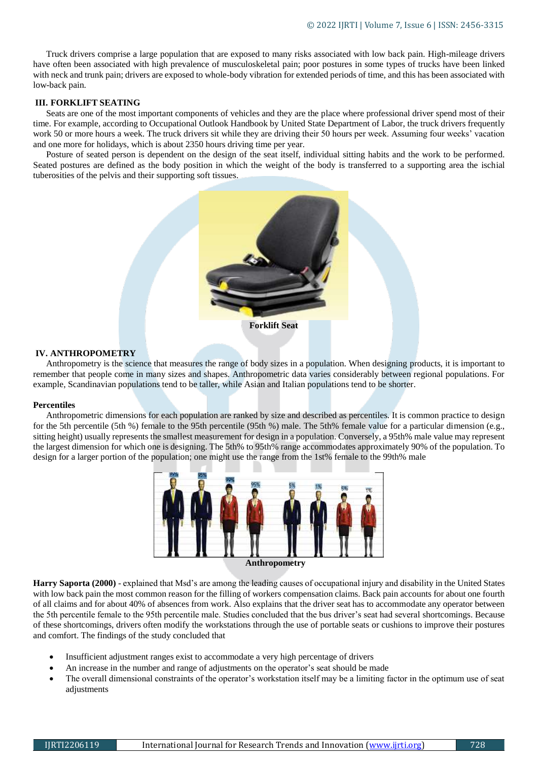Truck drivers comprise a large population that are exposed to many risks associated with low back pain. High-mileage drivers have often been associated with high prevalence of musculoskeletal pain; poor postures in some types of trucks have been linked with neck and trunk pain; drivers are exposed to whole-body vibration for extended periods of time, and this has been associated with low-back pain.

## **III. FORKLIFT SEATING**

Seats are one of the most important components of vehicles and they are the place where professional driver spend most of their time. For example, according to Occupational Outlook Handbook by United State Department of Labor, the truck drivers frequently work 50 or more hours a week. The truck drivers sit while they are driving their 50 hours per week. Assuming four weeks' vacation and one more for holidays, which is about 2350 hours driving time per year.

Posture of seated person is dependent on the design of the seat itself, individual sitting habits and the work to be performed. Seated postures are defined as the body position in which the weight of the body is transferred to a supporting area the ischial tuberosities of the pelvis and their supporting soft tissues.



#### **IV. ANTHROPOMETRY**

Anthropometry is the science that measures the range of body sizes in a population. When designing products, it is important to remember that people come in many sizes and shapes. Anthropometric data varies considerably between regional populations. For example, Scandinavian populations tend to be taller, while Asian and Italian populations tend to be shorter.

#### **Percentiles**

Anthropometric dimensions for each population are ranked by size and described as percentiles. It is common practice to design for the 5th percentile (5th %) female to the 95th percentile (95th %) male. The 5th% female value for a particular dimension (e.g., sitting height) usually represents the smallest measurement for design in a population. Conversely, a 95th% male value may represent the largest dimension for which one is designing. The 5th% to 95th% range accommodates approximately 90% of the population. To design for a larger portion of the population; one might use the range from the 1st% female to the 99th% male



**Anthropometry**

**Harry Saporta (2000)** - explained that Msd's are among the leading causes of occupational injury and disability in the United States with low back pain the most common reason for the filling of workers compensation claims. Back pain accounts for about one fourth of all claims and for about 40% of absences from work. Also explains that the driver seat has to accommodate any operator between the 5th percentile female to the 95th percentile male. Studies concluded that the bus driver's seat had several shortcomings. Because of these shortcomings, drivers often modify the workstations through the use of portable seats or cushions to improve their postures and comfort. The findings of the study concluded that

- Insufficient adjustment ranges exist to accommodate a very high percentage of drivers
- An increase in the number and range of adjustments on the operator's seat should be made
- The overall dimensional constraints of the operator's workstation itself may be a limiting factor in the optimum use of seat adjustments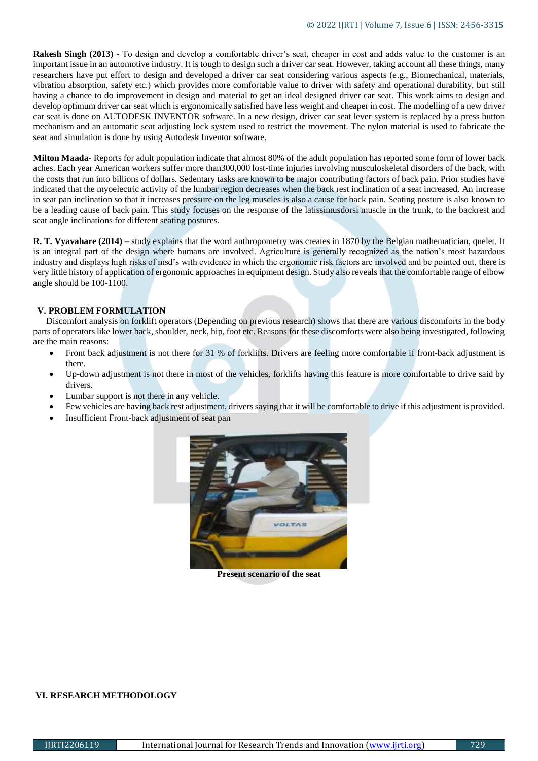**Rakesh Singh (2013) -** To design and develop a comfortable driver's seat, cheaper in cost and adds value to the customer is an important issue in an automotive industry. It is tough to design such a driver car seat. However, taking account all these things, many researchers have put effort to design and developed a driver car seat considering various aspects (e.g., Biomechanical, materials, vibration absorption, safety etc.) which provides more comfortable value to driver with safety and operational durability, but still having a chance to do improvement in design and material to get an ideal designed driver car seat. This work aims to design and develop optimum driver car seat which is ergonomically satisfied have less weight and cheaper in cost. The modelling of a new driver car seat is done on AUTODESK INVENTOR software. In a new design, driver car seat lever system is replaced by a press button mechanism and an automatic seat adjusting lock system used to restrict the movement. The nylon material is used to fabricate the seat and simulation is done by using Autodesk Inventor software.

**Milton Maada**- Reports for adult population indicate that almost 80% of the adult population has reported some form of lower back aches. Each year American workers suffer more than300,000 lost-time injuries involving musculoskeletal disorders of the back, with the costs that run into billions of dollars. Sedentary tasks are known to be major contributing factors of back pain. Prior studies have indicated that the myoelectric activity of the lumbar region decreases when the back rest inclination of a seat increased. An increase in seat pan inclination so that it increases pressure on the leg muscles is also a cause for back pain. Seating posture is also known to be a leading cause of back pain. This study focuses on the response of the latissimusdorsi muscle in the trunk, to the backrest and seat angle inclinations for different seating postures.

**R. T. Vyavahare (2014)** – study explains that the word anthropometry was creates in 1870 by the Belgian mathematician, quelet. It is an integral part of the design where humans are involved. Agriculture is generally recognized as the nation's most hazardous industry and displays high risks of msd's with evidence in which the ergonomic risk factors are involved and be pointed out, there is very little history of application of ergonomic approaches in equipment design. Study also reveals that the comfortable range of elbow angle should be 100-1100.

# **V. PROBLEM FORMULATION**

Discomfort analysis on forklift operators (Depending on previous research) shows that there are various discomforts in the body parts of operators like lower back, shoulder, neck, hip, foot etc. Reasons for these discomforts were also being investigated, following are the main reasons:

- Front back adjustment is not there for 31 % of forklifts. Drivers are feeling more comfortable if front-back adjustment is there.
- Up-down adjustment is not there in most of the vehicles, forklifts having this feature is more comfortable to drive said by drivers.
- Lumbar support is not there in any vehicle.
- Few vehicles are having back rest adjustment, drivers saying that it will be comfortable to drive if this adjustment is provided.
- Insufficient Front-back adjustment of seat pan



**Present scenario of the seat**

# **VI. RESEARCH METHODOLOGY**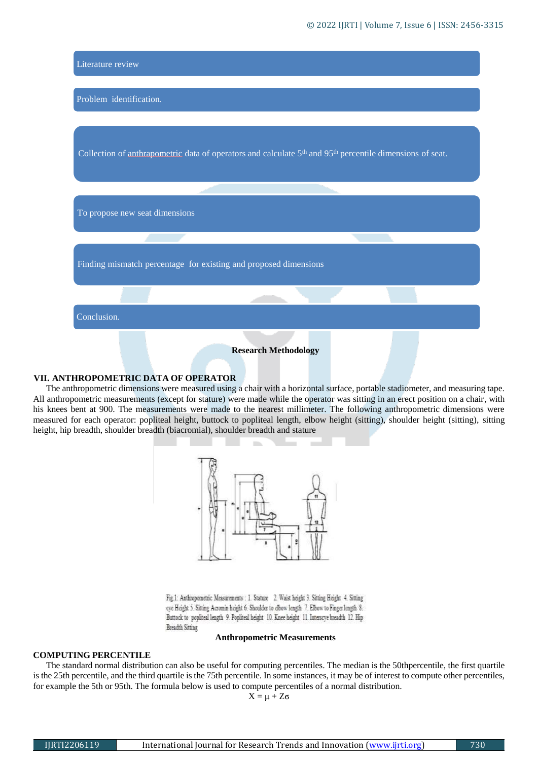

#### **VII. ANTHROPOMETRIC DATA OF OPERATOR**

The anthropometric dimensions were measured using a chair with a horizontal surface, portable stadiometer, and measuring tape. All anthropometric measurements (except for stature) were made while the operator was sitting in an erect position on a chair, with his knees bent at 900. The measurements were made to the nearest millimeter. The following anthropometric dimensions were measured for each operator: popliteal height, buttock to popliteal length, elbow height (sitting), shoulder height (sitting), sitting height, hip breadth, shoulder breadth (biacromial), shoulder breadth and stature



Fig.1: Anthropometric Measurements : 1. Stature 2. Waist height 3. Sitting Height 4. Sitting eye Height 5. Sitting Acromin height 6. Shoulder to elbow length 7. Elbow to Finger length 8. Buttock to popliteal length 9. Popliteal height 10. Knee height 11. Interscye breadth 12. Hip Breadth Sitting

#### **Anthropometric Measurements**

#### **COMPUTING PERCENTILE**

The standard normal distribution can also be useful for computing percentiles. The median is the 50thpercentile, the first quartile is the 25th percentile, and the third quartile is the 75th percentile. In some instances, it may be of interest to compute other percentiles, for example the 5th or 95th. The formula below is used to compute percentiles of a normal distribution.

 $X = \mu + Z\sigma$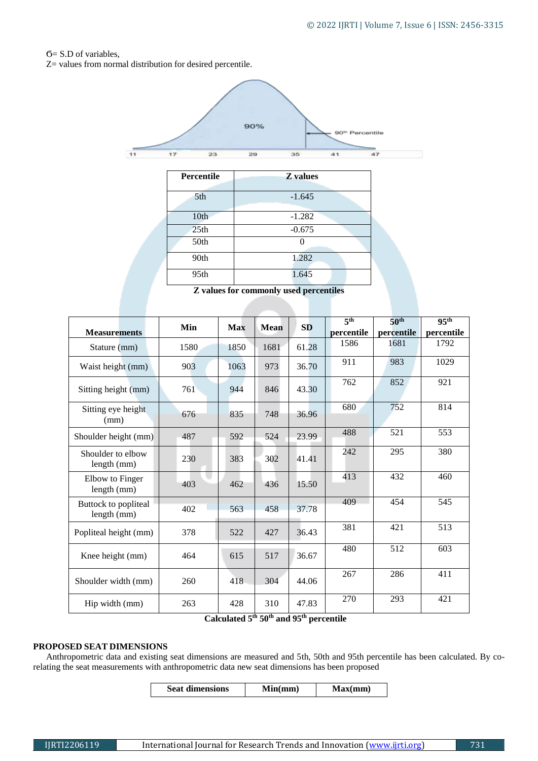# Ϭ= S.D of variables,

Z= values from normal distribution for desired percentile.



| Percentile       | <b>Z</b> values |  |  |  |
|------------------|-----------------|--|--|--|
| 5th              | $-1.645$        |  |  |  |
| 10th             | $-1.282$        |  |  |  |
| 25 <sub>th</sub> | $-0.675$        |  |  |  |
| 50th             |                 |  |  |  |
| 90th             | 1.282           |  |  |  |
| 95th             | 1.645           |  |  |  |

**Z values for commonly used percentiles**

|                                     | Min  | <b>Max</b> | Mean | <b>SD</b>                             | 5 <sup>th</sup> | 50 <sup>th</sup> | 95 <sup>th</sup> |
|-------------------------------------|------|------------|------|---------------------------------------|-----------------|------------------|------------------|
| <b>Measurements</b>                 |      |            |      |                                       | percentile      | percentile       | percentile       |
| Stature (mm)                        | 1580 | 1850       | 1681 | 61.28                                 | 1586            | 1681             | 1792             |
| Waist height (mm)                   | 903  | 1063       | 973  | 36.70                                 | 911             | 983              | 1029             |
| Sitting height (mm)                 | 761  | 944        | 846  | 43.30                                 | 762             | 852              | 921              |
| Sitting eye height<br>(mm)          | 676  | 835        | 748  | 36.96                                 | 680             | 752              | 814              |
| Shoulder height (mm)                | 487  | 592        | 524  | 23.99                                 | 488             | 521              | 553              |
| Shoulder to elbow<br>length (mm)    | 230  | 383        | 302  | 41.41                                 | 242             | 295              | 380              |
| Elbow to Finger<br>length (mm)      | 403  | 462        | 436  | 15.50                                 | 413             | 432              | 460              |
| Buttock to popliteal<br>length (mm) | 402  | 563        | 458  | 37.78                                 | 409             | 454              | 545              |
| Popliteal height (mm)               | 378  | 522        | 427  | 36.43                                 | 381             | 421              | 513              |
| Knee height (mm)                    | 464  | 615        | 517  | 36.67                                 | 480             | 512              | 603              |
| Shoulder width (mm)                 | 260  | 418        | 304  | 44.06                                 | 267             | 286              | 411              |
| Hip width (mm)                      | 263  | 428        | 310  | 47.83<br>$\mathbf{v}$ of $\mathbf{v}$ | 270<br>$\cdot$  | 293              | 421              |

**Calculated 5th 50th and 95th percentile**

# **PROPOSED SEAT DIMENSIONS**

Anthropometric data and existing seat dimensions are measured and 5th, 50th and 95th percentile has been calculated. By corelating the seat measurements with anthropometric data new seat dimensions has been proposed

| <b>Seat dimensions</b> | Min(mm) | Max(mm) |
|------------------------|---------|---------|
|------------------------|---------|---------|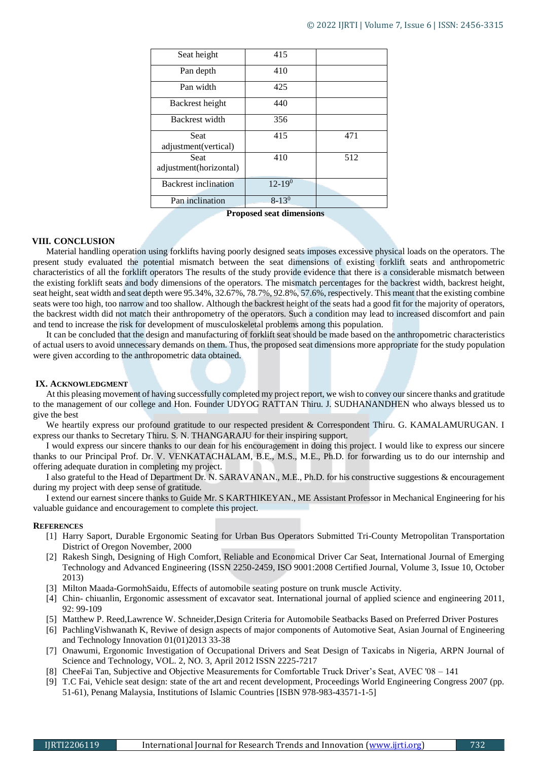| Seat height                           | 415           |     |
|---------------------------------------|---------------|-----|
| Pan depth                             | 410           |     |
| Pan width                             | 425           |     |
| Backrest height                       | 440           |     |
| Backrest width                        | 356           |     |
| <b>Seat</b><br>adjustment(vertical)   | 415           | 471 |
| <b>Seat</b><br>adjustment(horizontal) | 410           | 512 |
| <b>Backrest</b> inclination           | $12 - 19^{0}$ |     |
| Pan inclination                       | $8 - 13^{0}$  |     |

**Proposed seat dimensions**

## **VIII. CONCLUSION**

Material handling operation using forklifts having poorly designed seats imposes excessive physical loads on the operators. The present study evaluated the potential mismatch between the seat dimensions of existing forklift seats and anthropometric characteristics of all the forklift operators The results of the study provide evidence that there is a considerable mismatch between the existing forklift seats and body dimensions of the operators. The mismatch percentages for the backrest width, backrest height, seat height, seat width and seat depth were 95.34%, 32.67%, 78.7%, 92.8%, 57.6%, respectively. This meant that the existing combine seats were too high, too narrow and too shallow. Although the backrest height of the seats had a good fit for the majority of operators, the backrest width did not match their anthropometry of the operators. Such a condition may lead to increased discomfort and pain and tend to increase the risk for development of musculoskeletal problems among this population.

It can be concluded that the design and manufacturing of forklift seat should be made based on the anthropometric characteristics of actual users to avoid unnecessary demands on them. Thus, the proposed seat dimensions more appropriate for the study population were given according to the anthropometric data obtained.

### **IX. ACKNOWLEDGMENT**

At this pleasing movement of having successfully completed my project report, we wish to convey our sincere thanks and gratitude to the management of our college and Hon. Founder UDYOG RATTAN Thiru. J. SUDHANANDHEN who always blessed us to give the best

We heartily express our profound gratitude to our respected president & Correspondent Thiru. G. KAMALAMURUGAN. I express our thanks to Secretary Thiru. S. N. THANGARAJU for their inspiring support.

I would express our sincere thanks to our dean for his encouragement in doing this project. I would like to express our sincere thanks to our Principal Prof. Dr. V. VENKATACHALAM, B.E., M.S., M.E., Ph.D. for forwarding us to do our internship and offering adequate duration in completing my project.

I also grateful to the Head of Department Dr. N. SARAVANAN., M.E., Ph.D. for his constructive suggestions & encouragement during my project with deep sense of gratitude.

I extend our earnest sincere thanks to Guide Mr. S KARTHIKEYAN., ME Assistant Professor in Mechanical Engineering for his valuable guidance and encouragement to complete this project.

#### **REFERENCES**

- [1] Harry Saport, Durable Ergonomic Seating for Urban Bus Operators Submitted Tri-County Metropolitan Transportation District of Oregon November, 2000
- [2] Rakesh Singh, Designing of High Comfort, Reliable and Economical Driver Car Seat, International Journal of Emerging Technology and Advanced Engineering (ISSN 2250-2459, ISO 9001:2008 Certified Journal, Volume 3, Issue 10, October 2013)
- [3] Milton Maada-GormohSaidu, Effects of automobile seating posture on trunk muscle Activity.
- [4] Chin- chiuanlin, Ergonomic assessment of excavator seat. International journal of applied science and engineering 2011, 92: 99-109
- [5] Matthew P. Reed,Lawrence W. Schneider,Design Criteria for Automobile Seatbacks Based on Preferred Driver Postures
- [6] PachlingVishwanath K, Reviwe of design aspects of major components of Automotive Seat, Asian Journal of Engineering and Technology Innovation 01(01)2013 33-38
- [7] Onawumi, Ergonomic Investigation of Occupational Drivers and Seat Design of Taxicabs in Nigeria, ARPN Journal of Science and Technology, VOL. 2, NO. 3, April 2012 ISSN 2225-7217
- [8] CheeFai Tan, Subjective and Objective Measurements for Comfortable Truck Driver's Seat, AVEC '08 141
- [9] T.C Fai, Vehicle seat design: state of the art and recent development, Proceedings World Engineering Congress 2007 (pp. 51-61), Penang Malaysia, Institutions of Islamic Countries [ISBN 978-983-43571-1-5]